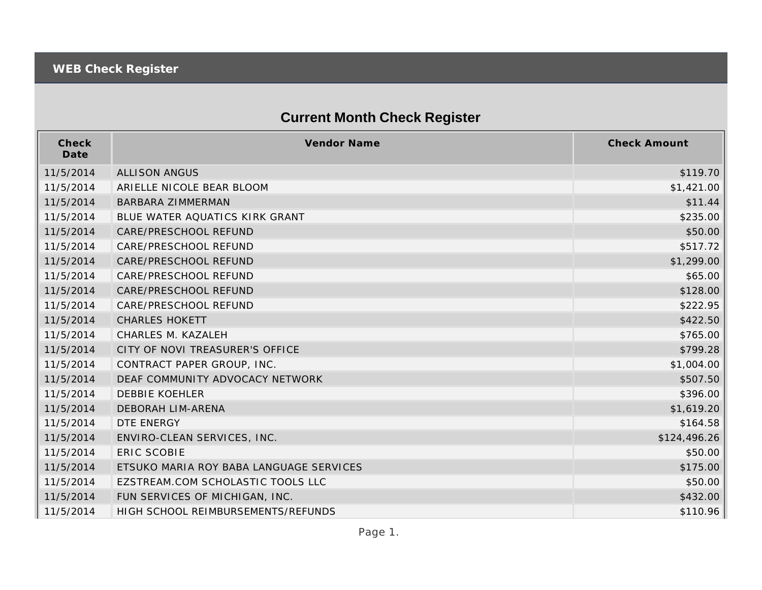## **Current Month Check Register**

| Check<br>Date | Vendor Name                             | <b>Check Amount</b> |
|---------------|-----------------------------------------|---------------------|
| 11/5/2014     | ALLISON ANGUS                           | \$119.70            |
| 11/5/2014     | ARIELLE NICOLE BEAR BLOOM               | \$1,421.00          |
| 11/5/2014     | <b>BARBARA ZIMMERMAN</b>                | \$11.44             |
| 11/5/2014     | BLUE WATER AQUATICS KIRK GRANT          | \$235.00            |
| 11/5/2014     | CARE/PRESCHOOL REFUND                   | \$50.00             |
| 11/5/2014     | CARE/PRESCHOOL REFUND                   | \$517.72            |
| 11/5/2014     | CARE/PRESCHOOL REFUND                   | \$1,299.00          |
| 11/5/2014     | CARE/PRESCHOOL REFUND                   | \$65.00             |
| 11/5/2014     | CARE/PRESCHOOL REFUND                   | \$128.00            |
| 11/5/2014     | CARE/PRESCHOOL REFUND                   | \$222.95            |
| 11/5/2014     | <b>CHARLES HOKETT</b>                   | \$422.50            |
| 11/5/2014     | CHARLES M. KAZALEH                      | \$765.00            |
| 11/5/2014     | CITY OF NOVI TREASURER'S OFFICE         | \$799.28            |
| 11/5/2014     | CONTRACT PAPER GROUP, INC.              | \$1,004.00          |
| 11/5/2014     | DEAF COMMUNITY ADVOCACY NETWORK         | \$507.50            |
| 11/5/2014     | <b>DEBBIE KOEHLER</b>                   | \$396.00            |
| 11/5/2014     | <b>DEBORAH LIM-ARENA</b>                | \$1,619.20          |
| 11/5/2014     | DTE ENERGY                              | \$164.58            |
| 11/5/2014     | ENVIRO-CLEAN SERVICES, INC.             | \$124,496.26        |
| 11/5/2014     | <b>ERIC SCOBIE</b>                      | \$50.00             |
| 11/5/2014     | ETSUKO MARIA ROY BABA LANGUAGE SERVICES | \$175.00            |
| 11/5/2014     | EZSTREAM.COM SCHOLASTIC TOOLS LLC       | \$50.00             |
| 11/5/2014     | FUN SERVICES OF MICHIGAN, INC.          | \$432.00            |
| 11/5/2014     | HIGH SCHOOL REIMBURSEMENTS/REFUNDS      | \$110.96            |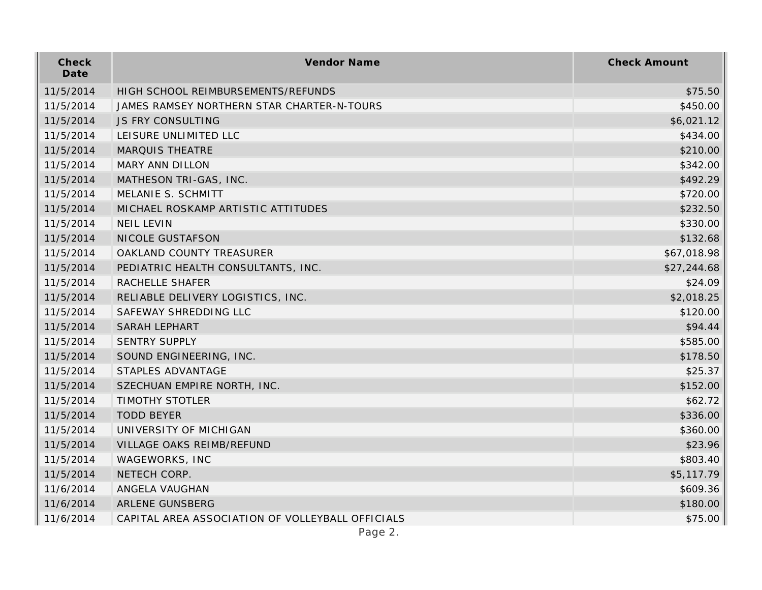| Check<br>Date | Vendor Name                                      | <b>Check Amount</b> |
|---------------|--------------------------------------------------|---------------------|
| 11/5/2014     | HIGH SCHOOL REIMBURSEMENTS/REFUNDS               | \$75.50             |
| 11/5/2014     | JAMES RAMSEY NORTHERN STAR CHARTER-N-TOURS       | \$450.00            |
| 11/5/2014     | JS FRY CONSULTING                                | \$6,021.12          |
| 11/5/2014     | LEISURE UNLIMITED LLC                            | \$434.00            |
| 11/5/2014     | <b>MARQUIS THEATRE</b>                           | \$210.00            |
| 11/5/2014     | MARY ANN DILLON                                  | \$342.00            |
| 11/5/2014     | MATHESON TRI-GAS, INC.                           | \$492.29            |
| 11/5/2014     | MELANIE S. SCHMITT                               | \$720.00            |
| 11/5/2014     | MICHAEL ROSKAMP ARTISTIC ATTITUDES               | \$232.50            |
| 11/5/2014     | <b>NEIL LEVIN</b>                                | \$330.00            |
| 11/5/2014     | NICOLE GUSTAFSON                                 | \$132.68            |
| 11/5/2014     | OAKLAND COUNTY TREASURER                         | \$67,018.98         |
| 11/5/2014     | PEDIATRIC HEALTH CONSULTANTS, INC.               | \$27,244.68         |
| 11/5/2014     | RACHELLE SHAFER                                  | \$24.09             |
| 11/5/2014     | RELIABLE DELIVERY LOGISTICS, INC.                | \$2,018.25          |
| 11/5/2014     | SAFEWAY SHREDDING LLC                            | \$120.00            |
| 11/5/2014     | <b>SARAH LEPHART</b>                             | \$94.44             |
| 11/5/2014     | <b>SENTRY SUPPLY</b>                             | \$585.00            |
| 11/5/2014     | SOUND ENGINEERING, INC.                          | \$178.50            |
| 11/5/2014     | STAPLES ADVANTAGE                                | \$25.37             |
| 11/5/2014     | SZECHUAN EMPIRE NORTH, INC.                      | \$152.00            |
| 11/5/2014     | <b>TIMOTHY STOTLER</b>                           | \$62.72             |
| 11/5/2014     | <b>TODD BEYER</b>                                | \$336.00            |
| 11/5/2014     | UNIVERSITY OF MICHIGAN                           | \$360.00            |
| 11/5/2014     | VILLAGE OAKS REIMB/REFUND                        | \$23.96             |
| 11/5/2014     | WAGEWORKS, INC                                   | \$803.40            |
| 11/5/2014     | NETECH CORP.                                     | \$5,117.79          |
| 11/6/2014     | ANGELA VAUGHAN                                   | \$609.36            |
| 11/6/2014     | ARLENE GUNSBERG                                  | \$180.00            |
| 11/6/2014     | CAPITAL AREA ASSOCIATION OF VOLLEYBALL OFFICIALS | \$75.00             |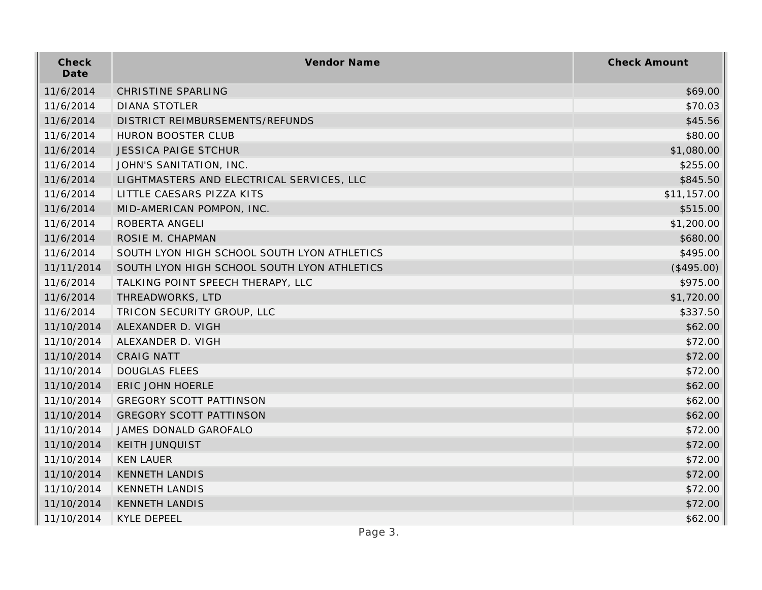| Check<br>Date | Vendor Name                                 | <b>Check Amount</b> |
|---------------|---------------------------------------------|---------------------|
| 11/6/2014     | <b>CHRISTINE SPARLING</b>                   | \$69.00             |
| 11/6/2014     | <b>DIANA STOTLER</b>                        | \$70.03             |
| 11/6/2014     | DISTRICT REIMBURSEMENTS/REFUNDS             | \$45.56             |
| 11/6/2014     | HURON BOOSTER CLUB                          | \$80.00             |
| 11/6/2014     | <b>JESSICA PAIGE STCHUR</b>                 | \$1,080.00          |
| 11/6/2014     | JOHN'S SANITATION, INC.                     | \$255.00            |
| 11/6/2014     | LIGHTMASTERS AND ELECTRICAL SERVICES, LLC   | \$845.50            |
| 11/6/2014     | LITTLE CAESARS PIZZA KITS                   | \$11,157.00         |
| 11/6/2014     | MID-AMERICAN POMPON, INC.                   | \$515.00            |
| 11/6/2014     | ROBERTA ANGELI                              | \$1,200.00          |
| 11/6/2014     | ROSIE M. CHAPMAN                            | \$680.00            |
| 11/6/2014     | SOUTH LYON HIGH SCHOOL SOUTH LYON ATHLETICS | \$495.00            |
| 11/11/2014    | SOUTH LYON HIGH SCHOOL SOUTH LYON ATHLETICS | (\$495.00)          |
| 11/6/2014     | TALKING POINT SPEECH THERAPY, LLC           | \$975.00            |
| 11/6/2014     | THREADWORKS, LTD                            | \$1,720.00          |
| 11/6/2014     | TRICON SECURITY GROUP, LLC                  | \$337.50            |
| 11/10/2014    | ALEXANDER D. VIGH                           | \$62.00             |
| 11/10/2014    | ALEXANDER D. VIGH                           | \$72.00             |
| 11/10/2014    | <b>CRAIG NATT</b>                           | \$72.00             |
| 11/10/2014    | <b>DOUGLAS FLEES</b>                        | \$72.00             |
| 11/10/2014    | ERIC JOHN HOERLE                            | \$62.00             |
| 11/10/2014    | <b>GREGORY SCOTT PATTINSON</b>              | \$62.00             |
| 11/10/2014    | <b>GREGORY SCOTT PATTINSON</b>              | \$62.00             |
| 11/10/2014    | JAMES DONALD GAROFALO                       | \$72.00             |
| 11/10/2014    | <b>KEITH JUNQUIST</b>                       | \$72.00             |
| 11/10/2014    | <b>KEN LAUER</b>                            | \$72.00             |
| 11/10/2014    | <b>KENNETH LANDIS</b>                       | \$72.00             |
| 11/10/2014    | <b>KENNETH LANDIS</b>                       | \$72.00             |
| 11/10/2014    | <b>KENNETH LANDIS</b>                       | \$72.00             |
| 11/10/2014    | <b>KYLE DEPEEL</b>                          | \$62.00             |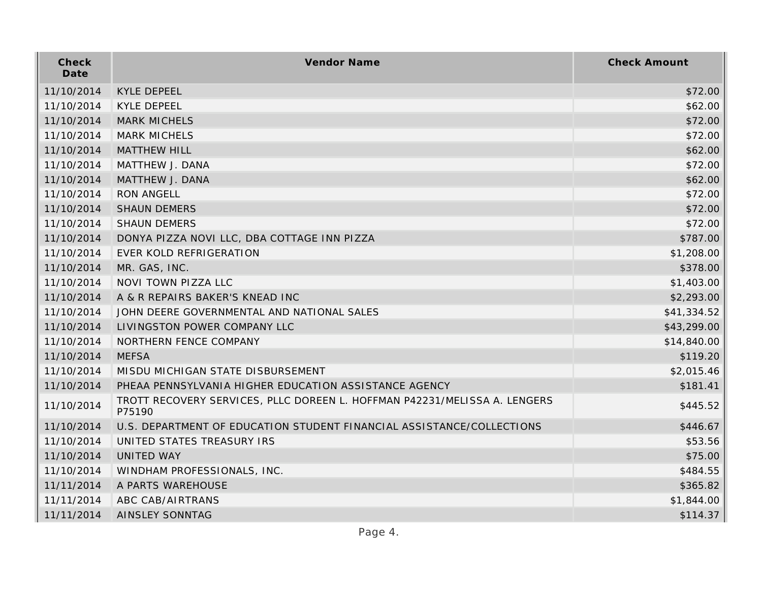| Check<br>Date | Vendor Name                                                                         | <b>Check Amount</b> |
|---------------|-------------------------------------------------------------------------------------|---------------------|
| 11/10/2014    | <b>KYLE DEPEEL</b>                                                                  | \$72.00             |
| 11/10/2014    | <b>KYLE DEPEEL</b>                                                                  | \$62.00             |
| 11/10/2014    | <b>MARK MICHELS</b>                                                                 | \$72.00             |
| 11/10/2014    | <b>MARK MICHELS</b>                                                                 | \$72.00             |
| 11/10/2014    | <b>MATTHEW HILL</b>                                                                 | \$62.00             |
| 11/10/2014    | MATTHEW J. DANA                                                                     | \$72.00             |
| 11/10/2014    | MATTHEW J. DANA                                                                     | \$62.00             |
| 11/10/2014    | <b>RON ANGELL</b>                                                                   | \$72.00             |
| 11/10/2014    | <b>SHAUN DEMERS</b>                                                                 | \$72.00             |
| 11/10/2014    | <b>SHAUN DEMERS</b>                                                                 | \$72.00             |
| 11/10/2014    | DONYA PIZZA NOVI LLC, DBA COTTAGE INN PIZZA                                         | \$787.00            |
| 11/10/2014    | <b>EVER KOLD REFRIGERATION</b>                                                      | \$1,208.00          |
| 11/10/2014    | MR. GAS, INC.                                                                       | \$378.00            |
| 11/10/2014    | NOVI TOWN PIZZA LLC                                                                 | \$1,403.00          |
| 11/10/2014    | A & R REPAIRS BAKER'S KNEAD INC                                                     | \$2,293.00          |
| 11/10/2014    | JOHN DEERE GOVERNMENTAL AND NATIONAL SALES                                          | \$41,334.52         |
| 11/10/2014    | LIVINGSTON POWER COMPANY LLC                                                        | \$43,299.00         |
| 11/10/2014    | NORTHERN FENCE COMPANY                                                              | \$14,840.00         |
| 11/10/2014    | <b>MEFSA</b>                                                                        | \$119.20            |
| 11/10/2014    | MISDU MICHIGAN STATE DISBURSEMENT                                                   | \$2,015.46          |
| 11/10/2014    | PHEAA PENNSYLVANIA HIGHER EDUCATION ASSISTANCE AGENCY                               | \$181.41            |
| 11/10/2014    | TROTT RECOVERY SERVICES, PLLC DOREEN L. HOFFMAN P42231/MELISSA A. LENGERS<br>P75190 | \$445.52            |
| 11/10/2014    | U.S. DEPARTMENT OF EDUCATION STUDENT FINANCIAL ASSISTANCE/COLLECTIONS               | \$446.67            |
| 11/10/2014    | UNITED STATES TREASURY IRS                                                          | \$53.56             |
| 11/10/2014    | <b>UNITED WAY</b>                                                                   | \$75.00             |
| 11/10/2014    | WINDHAM PROFESSIONALS, INC.                                                         | \$484.55            |
| 11/11/2014    | A PARTS WAREHOUSE                                                                   | \$365.82            |
| 11/11/2014    | ABC CAB/AIRTRANS                                                                    | \$1,844.00          |
| 11/11/2014    | AINSLEY SONNTAG                                                                     | \$114.37            |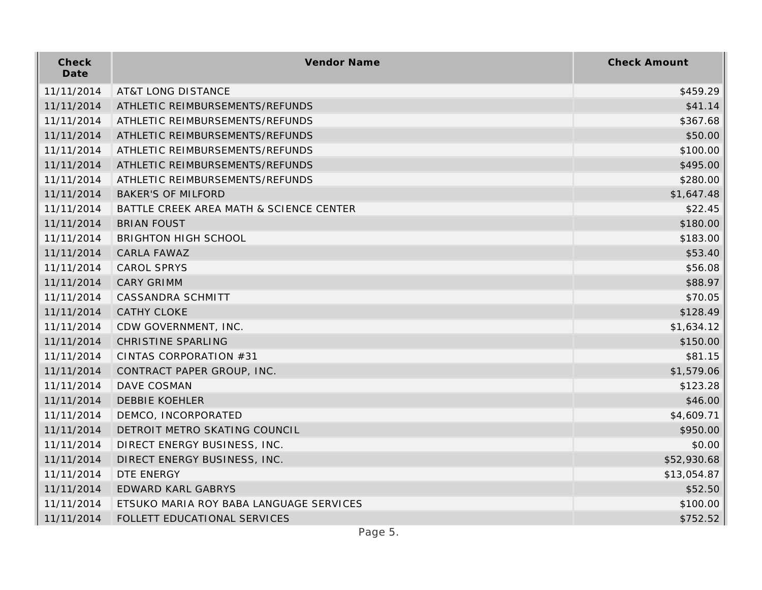| Check<br>Date | Vendor Name                             | <b>Check Amount</b> |
|---------------|-----------------------------------------|---------------------|
| 11/11/2014    | <b>AT&amp;T LONG DISTANCE</b>           | \$459.29            |
| 11/11/2014    | ATHLETIC REIMBURSEMENTS/REFUNDS         | \$41.14             |
| 11/11/2014    | ATHLETIC REIMBURSEMENTS/REFUNDS         | \$367.68            |
| 11/11/2014    | ATHLETIC REIMBURSEMENTS/REFUNDS         | \$50.00             |
| 11/11/2014    | ATHLETIC REIMBURSEMENTS/REFUNDS         | \$100.00            |
| 11/11/2014    | ATHLETIC REIMBURSEMENTS/REFUNDS         | \$495.00            |
| 11/11/2014    | ATHLETIC REIMBURSEMENTS/REFUNDS         | \$280.00            |
| 11/11/2014    | <b>BAKER'S OF MILFORD</b>               | \$1,647.48          |
| 11/11/2014    | BATTLE CREEK AREA MATH & SCIENCE CENTER | \$22.45             |
| 11/11/2014    | <b>BRIAN FOUST</b>                      | \$180.00            |
| 11/11/2014    | <b>BRIGHTON HIGH SCHOOL</b>             | \$183.00            |
| 11/11/2014    | CARLA FAWAZ                             | \$53.40             |
| 11/11/2014    | <b>CAROL SPRYS</b>                      | \$56.08             |
| 11/11/2014    | <b>CARY GRIMM</b>                       | \$88.97             |
| 11/11/2014    | CASSANDRA SCHMITT                       | \$70.05             |
| 11/11/2014    | <b>CATHY CLOKE</b>                      | \$128.49            |
| 11/11/2014    | CDW GOVERNMENT, INC.                    | \$1,634.12          |
| 11/11/2014    | CHRISTINE SPARLING                      | \$150.00            |
| 11/11/2014    | CINTAS CORPORATION #31                  | \$81.15             |
| 11/11/2014    | CONTRACT PAPER GROUP, INC.              | \$1,579.06          |
| 11/11/2014    | DAVE COSMAN                             | \$123.28            |
| 11/11/2014    | <b>DEBBIE KOEHLER</b>                   | \$46.00             |
| 11/11/2014    | DEMCO, INCORPORATED                     | \$4,609.71          |
| 11/11/2014    | DETROIT METRO SKATING COUNCIL           | \$950.00            |
| 11/11/2014    | DIRECT ENERGY BUSINESS, INC.            | \$0.00              |
| 11/11/2014    | DIRECT ENERGY BUSINESS, INC.            | \$52,930.68         |
| 11/11/2014    | DTE ENERGY                              | \$13,054.87         |
| 11/11/2014    | EDWARD KARL GABRYS                      | \$52.50             |
| 11/11/2014    | ETSUKO MARIA ROY BABA LANGUAGE SERVICES | \$100.00            |
| 11/11/2014    | FOLLETT EDUCATIONAL SERVICES            | \$752.52            |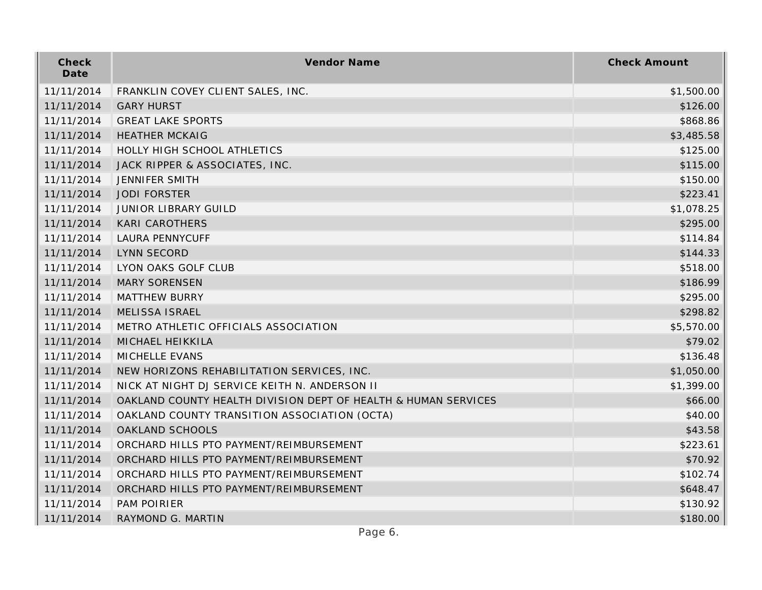| Check<br>Date | Vendor Name                                                    | <b>Check Amount</b> |
|---------------|----------------------------------------------------------------|---------------------|
| 11/11/2014    | FRANKLIN COVEY CLIENT SALES, INC.                              | \$1,500.00          |
| 11/11/2014    | <b>GARY HURST</b>                                              | \$126.00            |
| 11/11/2014    | <b>GREAT LAKE SPORTS</b>                                       | \$868.86            |
| 11/11/2014    | <b>HEATHER MCKAIG</b>                                          | \$3,485.58          |
| 11/11/2014    | HOLLY HIGH SCHOOL ATHLETICS                                    | \$125.00            |
| 11/11/2014    | JACK RIPPER & ASSOCIATES, INC.                                 | \$115.00            |
| 11/11/2014    | <b>JENNIFER SMITH</b>                                          | \$150.00            |
| 11/11/2014    | <b>JODI FORSTER</b>                                            | \$223.41            |
| 11/11/2014    | <b>JUNIOR LIBRARY GUILD</b>                                    | \$1,078.25          |
| 11/11/2014    | <b>KARI CAROTHERS</b>                                          | \$295.00            |
| 11/11/2014    | <b>LAURA PENNYCUFF</b>                                         | \$114.84            |
| 11/11/2014    | <b>LYNN SECORD</b>                                             | \$144.33            |
| 11/11/2014    | LYON OAKS GOLF CLUB                                            | \$518.00            |
| 11/11/2014    | <b>MARY SORENSEN</b>                                           | \$186.99            |
| 11/11/2014    | <b>MATTHEW BURRY</b>                                           | \$295.00            |
| 11/11/2014    | MELISSA ISRAEL                                                 | \$298.82            |
| 11/11/2014    | METRO ATHLETIC OFFICIALS ASSOCIATION                           | \$5,570.00          |
| 11/11/2014    | MICHAEL HEIKKILA                                               | \$79.02             |
| 11/11/2014    | MICHELLE EVANS                                                 | \$136.48            |
| 11/11/2014    | NEW HORIZONS REHABILITATION SERVICES, INC.                     | \$1,050.00          |
| 11/11/2014    | NICK AT NIGHT DJ SERVICE KEITH N. ANDERSON II                  | \$1,399.00          |
| 11/11/2014    | OAKLAND COUNTY HEALTH DIVISION DEPT OF HEALTH & HUMAN SERVICES | \$66.00             |
| 11/11/2014    | OAKLAND COUNTY TRANSITION ASSOCIATION (OCTA)                   | \$40.00             |
| 11/11/2014    | OAKLAND SCHOOLS                                                | \$43.58             |
| 11/11/2014    | ORCHARD HILLS PTO PAYMENT/REIMBURSEMENT                        | \$223.61            |
| 11/11/2014    | ORCHARD HILLS PTO PAYMENT/REIMBURSEMENT                        | \$70.92             |
| 11/11/2014    | ORCHARD HILLS PTO PAYMENT/REIMBURSEMENT                        | \$102.74            |
| 11/11/2014    | ORCHARD HILLS PTO PAYMENT/REIMBURSEMENT                        | \$648.47            |
| 11/11/2014    | <b>PAM POIRIER</b>                                             | \$130.92            |
| 11/11/2014    | RAYMOND G. MARTIN                                              | \$180.00            |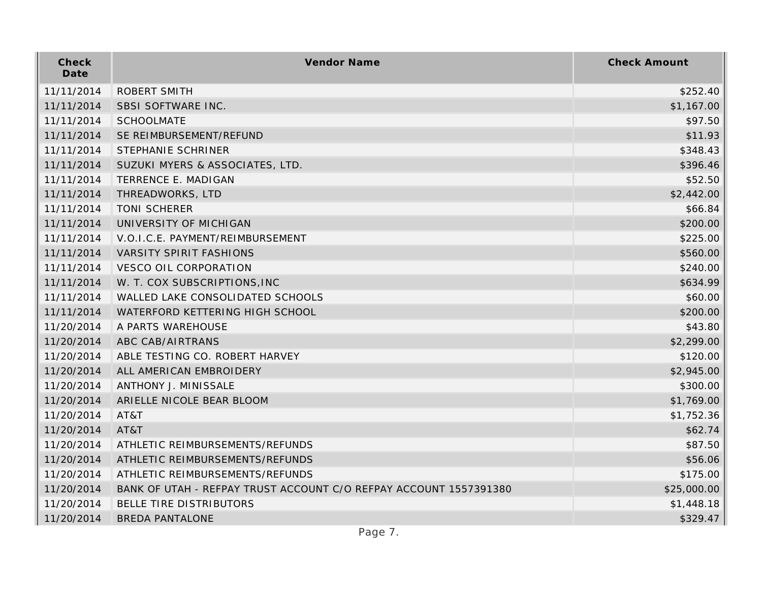| Check<br>Date | Vendor Name                                                       | <b>Check Amount</b> |
|---------------|-------------------------------------------------------------------|---------------------|
| 11/11/2014    | <b>ROBERT SMITH</b>                                               | \$252.40            |
| 11/11/2014    | SBSI SOFTWARE INC.                                                | \$1,167.00          |
| 11/11/2014    | <b>SCHOOLMATE</b>                                                 | \$97.50             |
| 11/11/2014    | SE REIMBURSEMENT/REFUND                                           | \$11.93             |
| 11/11/2014    | STEPHANIE SCHRINER                                                | \$348.43            |
| 11/11/2014    | SUZUKI MYERS & ASSOCIATES, LTD.                                   | \$396.46            |
| 11/11/2014    | TERRENCE E. MADIGAN                                               | \$52.50             |
| 11/11/2014    | THREADWORKS, LTD                                                  | \$2,442.00          |
| 11/11/2014    | <b>TONI SCHERER</b>                                               | \$66.84             |
| 11/11/2014    | UNIVERSITY OF MICHIGAN                                            | \$200.00            |
| 11/11/2014    | V.O.I.C.E. PAYMENT/REIMBURSEMENT                                  | \$225.00            |
| 11/11/2014    | <b>VARSITY SPIRIT FASHIONS</b>                                    | \$560.00            |
| 11/11/2014    | <b>VESCO OIL CORPORATION</b>                                      | \$240.00            |
| 11/11/2014    | W. T. COX SUBSCRIPTIONS, INC                                      | \$634.99            |
| 11/11/2014    | WALLED LAKE CONSOLIDATED SCHOOLS                                  | \$60.00             |
| 11/11/2014    | WATERFORD KETTERING HIGH SCHOOL                                   | \$200.00            |
| 11/20/2014    | A PARTS WAREHOUSE                                                 | \$43.80             |
| 11/20/2014    | ABC CAB/AIRTRANS                                                  | \$2,299.00          |
| 11/20/2014    | ABLE TESTING CO. ROBERT HARVEY                                    | \$120.00            |
| 11/20/2014    | ALL AMERICAN EMBROIDERY                                           | \$2,945.00          |
| 11/20/2014    | ANTHONY J. MINISSALE                                              | \$300.00            |
| 11/20/2014    | ARIELLE NICOLE BEAR BLOOM                                         | \$1,769.00          |
| 11/20/2014    | AT&T                                                              | \$1,752.36          |
| 11/20/2014    | AT&T                                                              | \$62.74             |
| 11/20/2014    | ATHLETIC REIMBURSEMENTS/REFUNDS                                   | \$87.50             |
| 11/20/2014    | ATHLETIC REIMBURSEMENTS/REFUNDS                                   | \$56.06             |
| 11/20/2014    | ATHLETIC REIMBURSEMENTS/REFUNDS                                   | \$175.00            |
| 11/20/2014    | BANK OF UTAH - REFPAY TRUST ACCOUNT C/O REFPAY ACCOUNT 1557391380 | \$25,000.00         |
| 11/20/2014    | <b>BELLE TIRE DISTRIBUTORS</b>                                    | \$1,448.18          |
| 11/20/2014    | <b>BREDA PANTALONE</b>                                            | \$329.47            |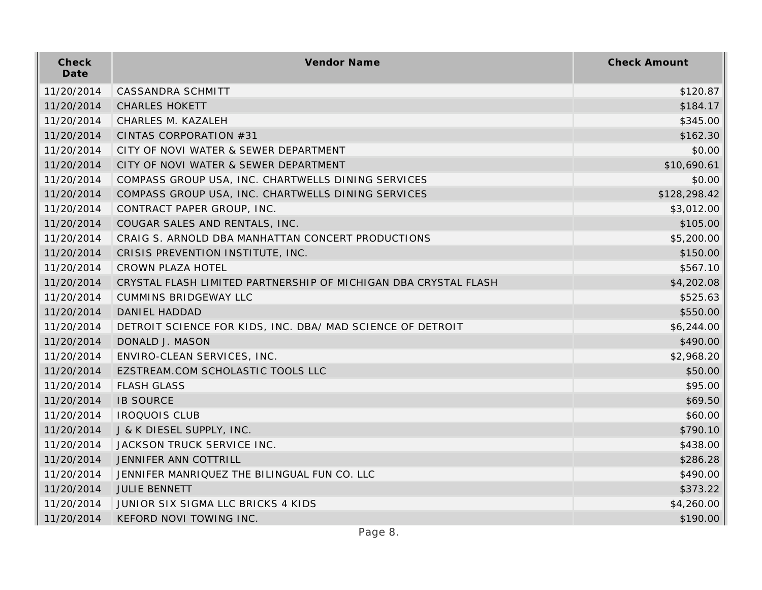| Check<br>Date | Vendor Name                                                     | <b>Check Amount</b> |
|---------------|-----------------------------------------------------------------|---------------------|
| 11/20/2014    | CASSANDRA SCHMITT                                               | \$120.87            |
| 11/20/2014    | <b>CHARLES HOKETT</b>                                           | \$184.17            |
| 11/20/2014    | CHARLES M. KAZALEH                                              | \$345.00            |
| 11/20/2014    | CINTAS CORPORATION #31                                          | \$162.30            |
| 11/20/2014    | CITY OF NOVI WATER & SEWER DEPARTMENT                           | \$0.00              |
| 11/20/2014    | CITY OF NOVI WATER & SEWER DEPARTMENT                           | \$10,690.61         |
| 11/20/2014    | COMPASS GROUP USA, INC. CHARTWELLS DINING SERVICES              | \$0.00              |
| 11/20/2014    | COMPASS GROUP USA, INC. CHARTWELLS DINING SERVICES              | \$128,298.42        |
| 11/20/2014    | CONTRACT PAPER GROUP, INC.                                      | \$3,012.00          |
| 11/20/2014    | COUGAR SALES AND RENTALS, INC.                                  | \$105.00            |
| 11/20/2014    | CRAIG S. ARNOLD DBA MANHATTAN CONCERT PRODUCTIONS               | \$5,200.00          |
| 11/20/2014    | CRISIS PREVENTION INSTITUTE, INC.                               | \$150.00            |
| 11/20/2014    | CROWN PLAZA HOTEL                                               | \$567.10            |
| 11/20/2014    | CRYSTAL FLASH LIMITED PARTNERSHIP OF MICHIGAN DBA CRYSTAL FLASH | \$4,202.08          |
| 11/20/2014    | <b>CUMMINS BRIDGEWAY LLC</b>                                    | \$525.63            |
| 11/20/2014    | DANIEL HADDAD                                                   | \$550.00            |
| 11/20/2014    | DETROIT SCIENCE FOR KIDS, INC. DBA/ MAD SCIENCE OF DETROIT      | \$6,244.00          |
| 11/20/2014    | DONALD J. MASON                                                 | \$490.00            |
| 11/20/2014    | ENVIRO-CLEAN SERVICES, INC.                                     | \$2,968.20          |
| 11/20/2014    | EZSTREAM.COM SCHOLASTIC TOOLS LLC                               | \$50.00             |
| 11/20/2014    | <b>FLASH GLASS</b>                                              | \$95.00             |
| 11/20/2014    | <b>IB SOURCE</b>                                                | \$69.50             |
| 11/20/2014    | <b>IROQUOIS CLUB</b>                                            | \$60.00             |
| 11/20/2014    | J & K DIESEL SUPPLY, INC.                                       | \$790.10            |
| 11/20/2014    | JACKSON TRUCK SERVICE INC.                                      | \$438.00            |
| 11/20/2014    | JENNIFER ANN COTTRILL                                           | \$286.28            |
| 11/20/2014    | JENNIFER MANRIQUEZ THE BILINGUAL FUN CO. LLC                    | \$490.00            |
| 11/20/2014    | <b>JULIE BENNETT</b>                                            | \$373.22            |
| 11/20/2014    | JUNIOR SIX SIGMA LLC BRICKS 4 KIDS                              | \$4,260.00          |
| 11/20/2014    | KEFORD NOVI TOWING INC.                                         | \$190.00            |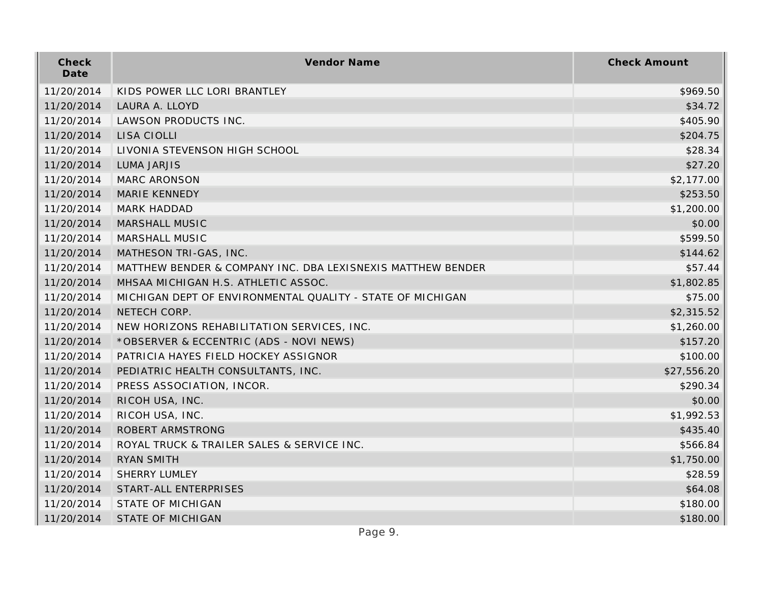| Check<br>Date | Vendor Name                                                 | <b>Check Amount</b> |
|---------------|-------------------------------------------------------------|---------------------|
| 11/20/2014    | KIDS POWER LLC LORI BRANTLEY                                | \$969.50            |
| 11/20/2014    | LAURA A. LLOYD                                              | \$34.72             |
| 11/20/2014    | LAWSON PRODUCTS INC.                                        | \$405.90            |
| 11/20/2014    | LISA CIOLLI                                                 | \$204.75            |
| 11/20/2014    | LIVONIA STEVENSON HIGH SCHOOL                               | \$28.34             |
| 11/20/2014    | <b>LUMA JARJIS</b>                                          | \$27.20             |
| 11/20/2014    | <b>MARC ARONSON</b>                                         | \$2,177.00          |
| 11/20/2014    | MARIE KENNEDY                                               | \$253.50            |
| 11/20/2014    | <b>MARK HADDAD</b>                                          | \$1,200.00          |
| 11/20/2014    | <b>MARSHALL MUSIC</b>                                       | \$0.00              |
| 11/20/2014    | MARSHALL MUSIC                                              | \$599.50            |
| 11/20/2014    | MATHESON TRI-GAS, INC.                                      | \$144.62            |
| 11/20/2014    | MATTHEW BENDER & COMPANY INC. DBA LEXISNEXIS MATTHEW BENDER | \$57.44             |
| 11/20/2014    | MHSAA MICHIGAN H.S. ATHLETIC ASSOC.                         | \$1,802.85          |
| 11/20/2014    | MICHIGAN DEPT OF ENVIRONMENTAL QUALITY - STATE OF MICHIGAN  | \$75.00             |
| 11/20/2014    | NETECH CORP.                                                | \$2,315.52          |
| 11/20/2014    | NEW HORIZONS REHABILITATION SERVICES, INC.                  | \$1,260.00          |
| 11/20/2014    | *OBSERVER & ECCENTRIC (ADS - NOVI NEWS)                     | \$157.20            |
| 11/20/2014    | PATRICIA HAYES FIELD HOCKEY ASSIGNOR                        | \$100.00            |
| 11/20/2014    | PEDIATRIC HEALTH CONSULTANTS, INC.                          | \$27,556.20         |
| 11/20/2014    | PRESS ASSOCIATION, INCOR.                                   | \$290.34            |
| 11/20/2014    | RICOH USA, INC.                                             | \$0.00              |
| 11/20/2014    | RICOH USA, INC.                                             | \$1,992.53          |
| 11/20/2014    | ROBERT ARMSTRONG                                            | \$435.40            |
| 11/20/2014    | ROYAL TRUCK & TRAILER SALES & SERVICE INC.                  | \$566.84            |
| 11/20/2014    | <b>RYAN SMITH</b>                                           | \$1,750.00          |
| 11/20/2014    | <b>SHERRY LUMLEY</b>                                        | \$28.59             |
| 11/20/2014    | START-ALL ENTERPRISES                                       | \$64.08             |
| 11/20/2014    | <b>STATE OF MICHIGAN</b>                                    | \$180.00            |
| 11/20/2014    | <b>STATE OF MICHIGAN</b>                                    | \$180.00            |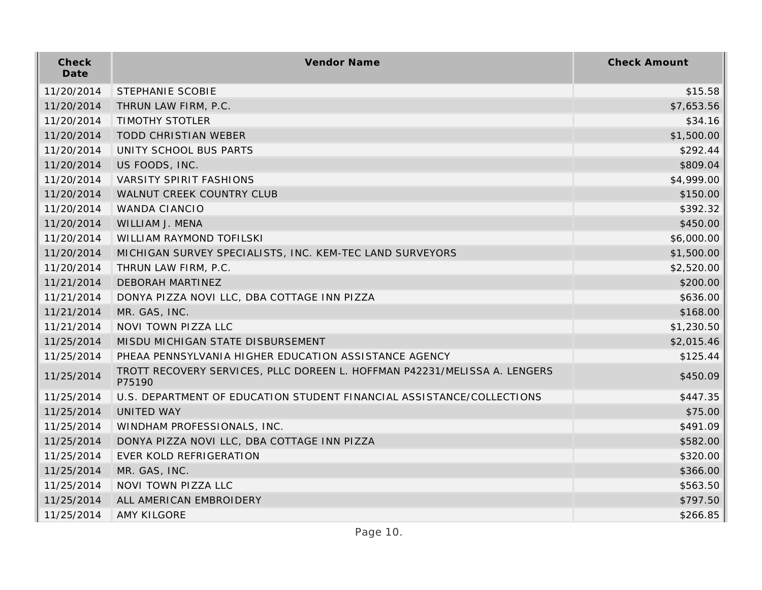| Check<br>Date | Vendor Name                                                                         | <b>Check Amount</b> |
|---------------|-------------------------------------------------------------------------------------|---------------------|
| 11/20/2014    | STEPHANIE SCOBIE                                                                    | \$15.58             |
| 11/20/2014    | THRUN LAW FIRM, P.C.                                                                | \$7,653.56          |
| 11/20/2014    | <b>TIMOTHY STOTLER</b>                                                              | \$34.16             |
| 11/20/2014    | <b>TODD CHRISTIAN WEBER</b>                                                         | \$1,500.00          |
| 11/20/2014    | UNITY SCHOOL BUS PARTS                                                              | \$292.44            |
| 11/20/2014    | US FOODS, INC.                                                                      | \$809.04            |
| 11/20/2014    | <b>VARSITY SPIRIT FASHIONS</b>                                                      | \$4,999.00          |
| 11/20/2014    | WALNUT CREEK COUNTRY CLUB                                                           | \$150.00            |
| 11/20/2014    | WANDA CIANCIO                                                                       | \$392.32            |
| 11/20/2014    | WILLIAM J. MENA                                                                     | \$450.00            |
| 11/20/2014    | WILLIAM RAYMOND TOFILSKI                                                            | \$6,000.00          |
| 11/20/2014    | MICHIGAN SURVEY SPECIALISTS, INC. KEM-TEC LAND SURVEYORS                            | \$1,500.00          |
| 11/20/2014    | THRUN LAW FIRM, P.C.                                                                | \$2,520.00          |
| 11/21/2014    | DEBORAH MARTINEZ                                                                    | \$200.00            |
| 11/21/2014    | DONYA PIZZA NOVI LLC, DBA COTTAGE INN PIZZA                                         | \$636.00            |
| 11/21/2014    | MR. GAS, INC.                                                                       | \$168.00            |
| 11/21/2014    | NOVI TOWN PIZZA LLC                                                                 | \$1,230.50          |
| 11/25/2014    | MISDU MICHIGAN STATE DISBURSEMENT                                                   | \$2,015.46          |
| 11/25/2014    | PHEAA PENNSYLVANIA HIGHER EDUCATION ASSISTANCE AGENCY                               | \$125.44            |
| 11/25/2014    | TROTT RECOVERY SERVICES, PLLC DOREEN L. HOFFMAN P42231/MELISSA A. LENGERS<br>P75190 | \$450.09            |
| 11/25/2014    | U.S. DEPARTMENT OF EDUCATION STUDENT FINANCIAL ASSISTANCE/COLLECTIONS               | \$447.35            |
| 11/25/2014    | <b>UNITED WAY</b>                                                                   | \$75.00             |
| 11/25/2014    | WINDHAM PROFESSIONALS, INC.                                                         | \$491.09            |
| 11/25/2014    | DONYA PIZZA NOVI LLC, DBA COTTAGE INN PIZZA                                         | \$582.00            |
| 11/25/2014    | EVER KOLD REFRIGERATION                                                             | \$320.00            |
| 11/25/2014    | MR. GAS, INC.                                                                       | \$366.00            |
| 11/25/2014    | NOVI TOWN PIZZA LLC                                                                 | \$563.50            |
| 11/25/2014    | ALL AMERICAN EMBROIDERY                                                             | \$797.50            |
| 11/25/2014    | AMY KILGORE                                                                         | \$266.85            |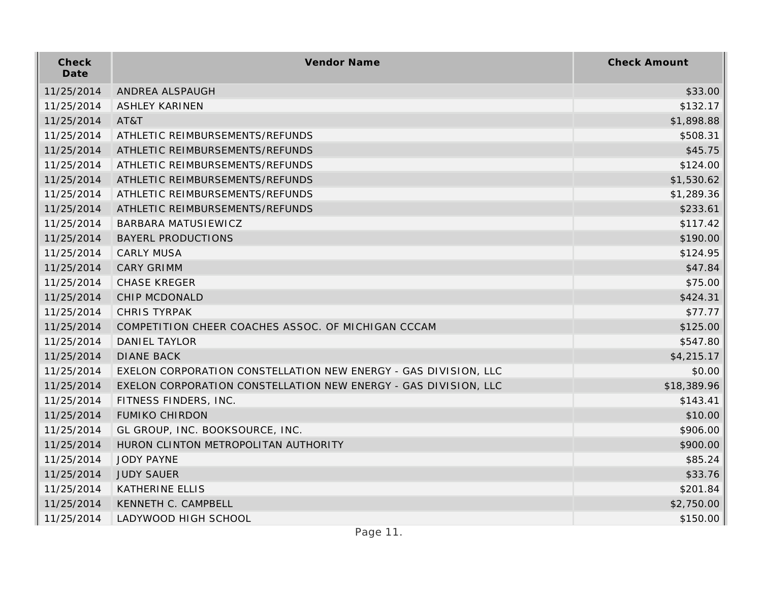| Check<br>Date | Vendor Name                                                     | <b>Check Amount</b> |
|---------------|-----------------------------------------------------------------|---------------------|
| 11/25/2014    | ANDREA ALSPAUGH                                                 | \$33.00             |
| 11/25/2014    | <b>ASHLEY KARINEN</b>                                           | \$132.17            |
| 11/25/2014    | AT&T                                                            | \$1,898.88          |
| 11/25/2014    | ATHLETIC REIMBURSEMENTS/REFUNDS                                 | \$508.31            |
| 11/25/2014    | ATHLETIC REIMBURSEMENTS/REFUNDS                                 | \$45.75             |
| 11/25/2014    | ATHLETIC REIMBURSEMENTS/REFUNDS                                 | \$124.00            |
| 11/25/2014    | ATHLETIC REIMBURSEMENTS/REFUNDS                                 | \$1,530.62          |
| 11/25/2014    | ATHLETIC REIMBURSEMENTS/REFUNDS                                 | \$1,289.36          |
| 11/25/2014    | ATHLETIC REIMBURSEMENTS/REFUNDS                                 | \$233.61            |
| 11/25/2014    | BARBARA MATUSIEWICZ                                             | \$117.42            |
| 11/25/2014    | <b>BAYERL PRODUCTIONS</b>                                       | \$190.00            |
| 11/25/2014    | <b>CARLY MUSA</b>                                               | \$124.95            |
| 11/25/2014    | <b>CARY GRIMM</b>                                               | \$47.84             |
| 11/25/2014    | <b>CHASE KREGER</b>                                             | \$75.00             |
| 11/25/2014    | <b>CHIP MCDONALD</b>                                            | \$424.31            |
| 11/25/2014    | <b>CHRIS TYRPAK</b>                                             | \$77.77             |
| 11/25/2014    | COMPETITION CHEER COACHES ASSOC. OF MICHIGAN CCCAM              | \$125.00            |
| 11/25/2014    | <b>DANIEL TAYLOR</b>                                            | \$547.80            |
| 11/25/2014    | <b>DIANE BACK</b>                                               | \$4,215.17          |
| 11/25/2014    | EXELON CORPORATION CONSTELLATION NEW ENERGY - GAS DIVISION, LLC | \$0.00              |
| 11/25/2014    | EXELON CORPORATION CONSTELLATION NEW ENERGY - GAS DIVISION, LLC | \$18,389.96         |
| 11/25/2014    | FITNESS FINDERS, INC.                                           | \$143.41            |
| 11/25/2014    | <b>FUMIKO CHIRDON</b>                                           | \$10.00             |
| 11/25/2014    | GL GROUP, INC. BOOKSOURCE, INC.                                 | \$906.00            |
| 11/25/2014    | HURON CLINTON METROPOLITAN AUTHORITY                            | \$900.00            |
| 11/25/2014    | <b>JODY PAYNE</b>                                               | \$85.24             |
| 11/25/2014    | <b>JUDY SAUER</b>                                               | \$33.76             |
| 11/25/2014    | <b>KATHERINE ELLIS</b>                                          | \$201.84            |
| 11/25/2014    | KENNETH C. CAMPBELL                                             | \$2,750.00          |
| 11/25/2014    | LADYWOOD HIGH SCHOOL                                            | \$150.00            |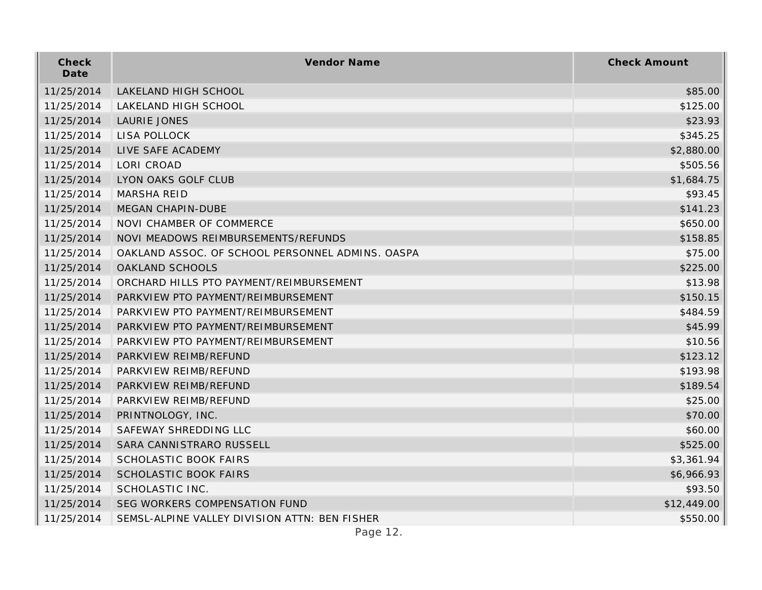| Check<br>Date | Vendor Name                                      | <b>Check Amount</b> |
|---------------|--------------------------------------------------|---------------------|
| 11/25/2014    | LAKELAND HIGH SCHOOL                             | \$85.00             |
| 11/25/2014    | LAKELAND HIGH SCHOOL                             | \$125.00            |
| 11/25/2014    | LAURIE JONES                                     | \$23.93             |
| 11/25/2014    | LISA POLLOCK                                     | \$345.25            |
| 11/25/2014    | LIVE SAFE ACADEMY                                | \$2,880.00          |
| 11/25/2014    | <b>LORI CROAD</b>                                | \$505.56            |
| 11/25/2014    | LYON OAKS GOLF CLUB                              | \$1,684.75          |
| 11/25/2014    | <b>MARSHA REID</b>                               | \$93.45             |
| 11/25/2014    | MEGAN CHAPIN-DUBE                                | \$141.23            |
| 11/25/2014    | NOVI CHAMBER OF COMMERCE                         | \$650.00            |
| 11/25/2014    | NOVI MEADOWS REIMBURSEMENTS/REFUNDS              | \$158.85            |
| 11/25/2014    | OAKLAND ASSOC. OF SCHOOL PERSONNEL ADMINS. OASPA | \$75.00             |
| 11/25/2014    | OAKLAND SCHOOLS                                  | \$225.00            |
| 11/25/2014    | ORCHARD HILLS PTO PAYMENT/REIMBURSEMENT          | \$13.98             |
| 11/25/2014    | PARKVIEW PTO PAYMENT/REIMBURSEMENT               | \$150.15            |
| 11/25/2014    | PARKVIEW PTO PAYMENT/REIMBURSEMENT               | \$484.59            |
| 11/25/2014    | PARKVIEW PTO PAYMENT/REIMBURSEMENT               | \$45.99             |
| 11/25/2014    | PARKVIEW PTO PAYMENT/REIMBURSEMENT               | \$10.56             |
| 11/25/2014    | PARKVIEW REIMB/REFUND                            | \$123.12            |
| 11/25/2014    | PARKVIEW REIMB/REFUND                            | \$193.98            |
| 11/25/2014    | PARKVIEW REIMB/REFUND                            | \$189.54            |
| 11/25/2014    | PARKVIEW REIMB/REFUND                            | \$25.00             |
| 11/25/2014    | PRINTNOLOGY, INC.                                | \$70.00             |
| 11/25/2014    | SAFEWAY SHREDDING LLC                            | \$60.00             |
| 11/25/2014    | SARA CANNISTRARO RUSSELL                         | \$525.00            |
| 11/25/2014    | <b>SCHOLASTIC BOOK FAIRS</b>                     | \$3,361.94          |
| 11/25/2014    | <b>SCHOLASTIC BOOK FAIRS</b>                     | \$6,966.93          |
| 11/25/2014    | SCHOLASTIC INC.                                  | \$93.50             |
| 11/25/2014    | SEG WORKERS COMPENSATION FUND                    | \$12,449.00         |
| 11/25/2014    | SEMSL-ALPINE VALLEY DIVISION ATTN: BEN FISHER    | \$550.00            |